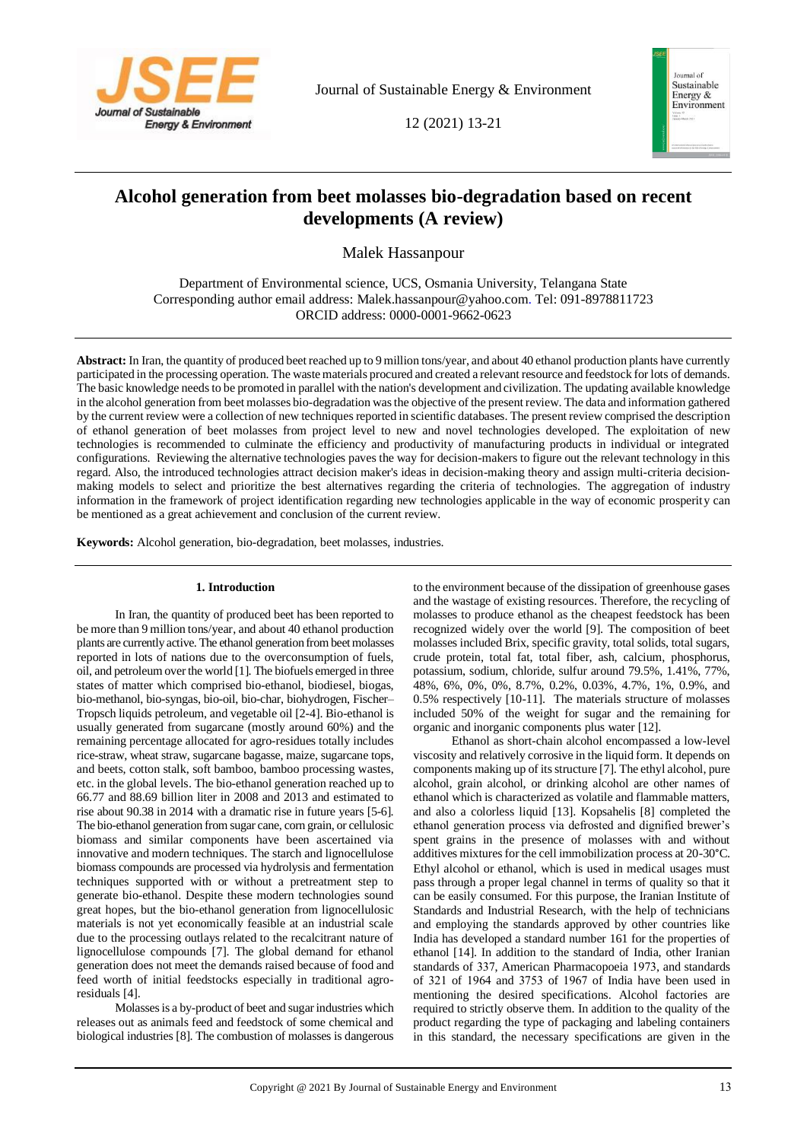

Journal of Sustainable Energy & Environment

12 (2021) 13-21



# **Alcohol generation from beet molasses bio-degradation based on recent developments (A review)**

Malek Hassanpour

Department of Environmental science, UCS, Osmania University, Telangana State Corresponding author email address: Malek.hassanpour@yahoo.com. Tel: 091-8978811723 ORCID address: 0000-0001-9662-0623

**Abstract:** In Iran, the quantity of produced beet reached up to 9 million tons/year, and about 40 ethanol production plants have currently participated in the processing operation. The waste materials procured and created a relevant resource and feedstock for lots of demands. The basic knowledge needs to be promoted in parallel with the nation's development and civilization. The updating available knowledge in the alcohol generation from beet molasses bio-degradation was the objective of the present review. The data and information gathered by the current review were a collection of new techniques reported in scientific databases. The present review comprised the description of ethanol generation of beet molasses from project level to new and novel technologies developed. The exploitation of new technologies is recommended to culminate the efficiency and productivity of manufacturing products in individual or integrated configurations. Reviewing the alternative technologies paves the way for decision-makers to figure out the relevant technology in this regard. Also, the introduced technologies attract decision maker's ideas in decision-making theory and assign multi-criteria decisionmaking models to select and prioritize the best alternatives regarding the criteria of technologies. The aggregation of industry information in the framework of project identification regarding new technologies applicable in the way of economic prosperity can be mentioned as a great achievement and conclusion of the current review.

**Keywords:** Alcohol generation, bio-degradation, beet molasses, industries.

# **1. Introduction**

In Iran, the quantity of produced beet has been reported to be more than 9 million tons/year, and about 40 ethanol production plants are currently active. The ethanol generation from beet molasses reported in lots of nations due to the overconsumption of fuels, oil, and petroleum over the world [1]. The biofuels emerged in three states of matter which comprised bio-ethanol, biodiesel, biogas, bio-methanol, bio-syngas, bio-oil, bio-char, biohydrogen, Fischer– Tropsch liquids petroleum, and vegetable oil [2-4]. Bio-ethanol is usually generated from sugarcane (mostly around 60%) and the remaining percentage allocated for agro-residues totally includes rice-straw, wheat straw, sugarcane bagasse, maize, sugarcane tops, and beets, cotton stalk, soft bamboo, bamboo processing wastes, etc. in the global levels. The bio-ethanol generation reached up to 66.77 and 88.69 billion liter in 2008 and 2013 and estimated to rise about 90.38 in 2014 with a dramatic rise in future years [5-6]. The bio-ethanol generation from sugar cane, corn grain, or cellulosic biomass and similar components have been ascertained via innovative and modern techniques. The starch and lignocellulose biomass compounds are processed via hydrolysis and fermentation techniques supported with or without a pretreatment step to generate bio-ethanol. Despite these modern technologies sound great hopes, but the bio-ethanol generation from lignocellulosic materials is not yet economically feasible at an industrial scale due to the processing outlays related to the recalcitrant nature of lignocellulose compounds [7]. The global demand for ethanol generation does not meet the demands raised because of food and feed worth of initial feedstocks especially in traditional agroresiduals [4].

Molasses is a by-product of beet and sugar industries which releases out as animals feed and feedstock of some chemical and biological industries [8]. The combustion of molasses is dangerous

to the environment because of the dissipation of greenhouse gases and the wastage of existing resources. Therefore, the recycling of molasses to produce ethanol as the cheapest feedstock has been recognized widely over the world [9]. The composition of beet molasses included Brix, specific gravity, total solids, total sugars, crude protein, total fat, total fiber, ash, calcium, phosphorus, potassium, sodium, chloride, sulfur around 79.5%, 1.41%, 77%, 48%, 6%, 0%, 0%, 8.7%, 0.2%, 0.03%, 4.7%, 1%, 0.9%, and 0.5% respectively [10-11]. The materials structure of molasses included 50% of the weight for sugar and the remaining for organic and inorganic components plus water [12].

Ethanol as short-chain alcohol encompassed a low-level viscosity and relatively corrosive in the liquid form. It depends on components making up of its structure [7]. The ethyl alcohol, pure alcohol, grain alcohol, or drinking alcohol are other names of ethanol which is characterized as volatile and flammable matters, and also a colorless liquid [13]. Kopsahelis [8] completed the ethanol generation process via defrosted and dignified brewer's spent grains in the presence of molasses with and without additives mixtures for the cell immobilization process at 20-30°C. Ethyl alcohol or ethanol, which is used in medical usages must pass through a proper legal channel in terms of quality so that it can be easily consumed. For this purpose, the Iranian Institute of Standards and Industrial Research, with the help of technicians and employing the standards approved by other countries like India has developed a standard number 161 for the properties of ethanol [14]. In addition to the standard of India, other Iranian standards of 337, American Pharmacopoeia 1973, and standards of 321 of 1964 and 3753 of 1967 of India have been used in mentioning the desired specifications. Alcohol factories are required to strictly observe them. In addition to the quality of the product regarding the type of packaging and labeling containers in this standard, the necessary specifications are given in the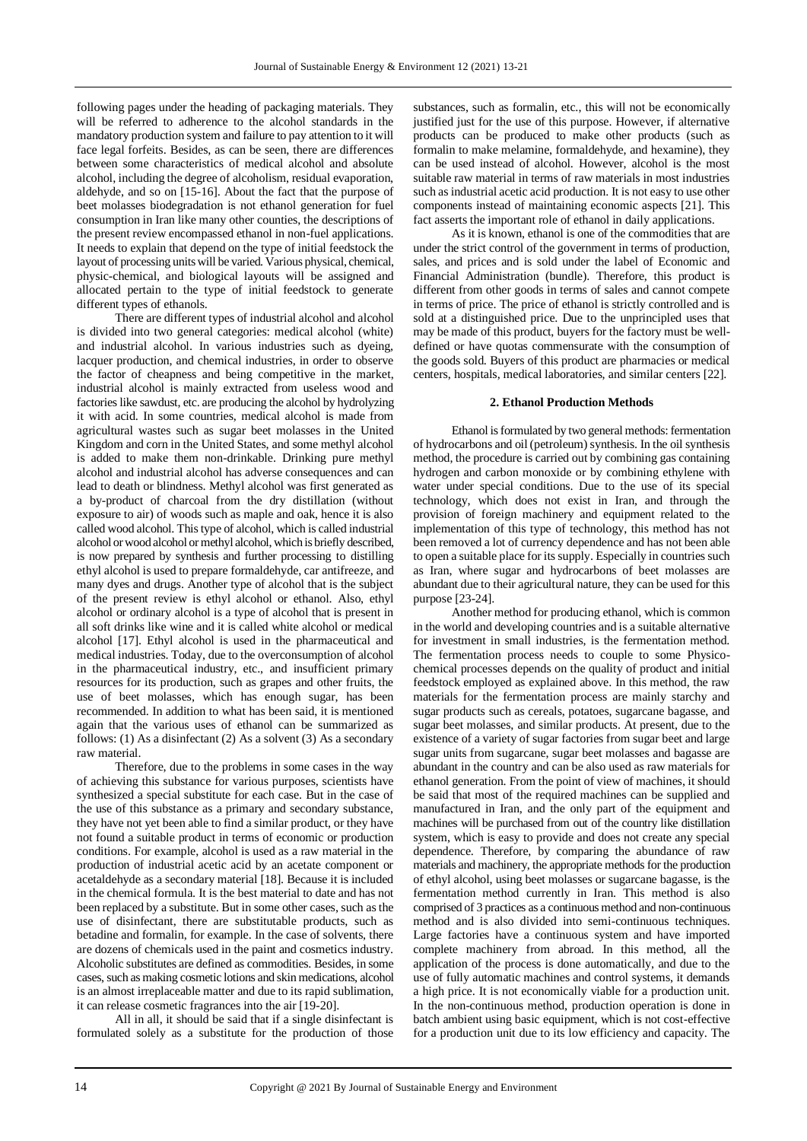following pages under the heading of packaging materials. They will be referred to adherence to the alcohol standards in the mandatory production system and failure to pay attention to it will face legal forfeits. Besides, as can be seen, there are differences between some characteristics of medical alcohol and absolute alcohol, including the degree of alcoholism, residual evaporation, aldehyde, and so on [15-16]. About the fact that the purpose of beet molasses biodegradation is not ethanol generation for fuel consumption in Iran like many other counties, the descriptions of the present review encompassed ethanol in non-fuel applications. It needs to explain that depend on the type of initial feedstock the layout of processing units will be varied. Various physical, chemical, physic-chemical, and biological layouts will be assigned and allocated pertain to the type of initial feedstock to generate different types of ethanols.

There are different types of industrial alcohol and alcohol is divided into two general categories: medical alcohol (white) and industrial alcohol. In various industries such as dyeing, lacquer production, and chemical industries, in order to observe the factor of cheapness and being competitive in the market, industrial alcohol is mainly extracted from useless wood and factories like sawdust, etc. are producing the alcohol by hydrolyzing it with acid. In some countries, medical alcohol is made from agricultural wastes such as sugar beet molasses in the United Kingdom and corn in the United States, and some methyl alcohol is added to make them non-drinkable. Drinking pure methyl alcohol and industrial alcohol has adverse consequences and can lead to death or blindness. Methyl alcohol was first generated as a by-product of charcoal from the dry distillation (without exposure to air) of woods such as maple and oak, hence it is also called wood alcohol. This type of alcohol, which is called industrial alcohol or wood alcohol or methyl alcohol, which is briefly described, is now prepared by synthesis and further processing to distilling ethyl alcohol is used to prepare formaldehyde, car antifreeze, and many dyes and drugs. Another type of alcohol that is the subject of the present review is ethyl alcohol or ethanol. Also, ethyl alcohol or ordinary alcohol is a type of alcohol that is present in all soft drinks like wine and it is called white alcohol or medical alcohol [17]. Ethyl alcohol is used in the pharmaceutical and medical industries. Today, due to the overconsumption of alcohol in the pharmaceutical industry, etc., and insufficient primary resources for its production, such as grapes and other fruits, the use of beet molasses, which has enough sugar, has been recommended. In addition to what has been said, it is mentioned again that the various uses of ethanol can be summarized as follows: (1) As a disinfectant (2) As a solvent (3) As a secondary raw material.

Therefore, due to the problems in some cases in the way of achieving this substance for various purposes, scientists have synthesized a special substitute for each case. But in the case of the use of this substance as a primary and secondary substance, they have not yet been able to find a similar product, or they have not found a suitable product in terms of economic or production conditions. For example, alcohol is used as a raw material in the production of industrial acetic acid by an acetate component or acetaldehyde as a secondary material [18]. Because it is included in the chemical formula. It is the best material to date and has not been replaced by a substitute. But in some other cases, such as the use of disinfectant, there are substitutable products, such as betadine and formalin, for example. In the case of solvents, there are dozens of chemicals used in the paint and cosmetics industry. Alcoholic substitutes are defined as commodities. Besides, in some cases, such as making cosmetic lotions and skin medications, alcohol is an almost irreplaceable matter and due to its rapid sublimation, it can release cosmetic fragrances into the air [19-20].

All in all, it should be said that if a single disinfectant is formulated solely as a substitute for the production of those

substances, such as formalin, etc., this will not be economically justified just for the use of this purpose. However, if alternative products can be produced to make other products (such as formalin to make melamine, formaldehyde, and hexamine), they can be used instead of alcohol. However, alcohol is the most suitable raw material in terms of raw materials in most industries such as industrial acetic acid production. It is not easy to use other components instead of maintaining economic aspects [21]. This fact asserts the important role of ethanol in daily applications.

As it is known, ethanol is one of the commodities that are under the strict control of the government in terms of production, sales, and prices and is sold under the label of Economic and Financial Administration (bundle). Therefore, this product is different from other goods in terms of sales and cannot compete in terms of price. The price of ethanol is strictly controlled and is sold at a distinguished price. Due to the unprincipled uses that may be made of this product, buyers for the factory must be welldefined or have quotas commensurate with the consumption of the goods sold. Buyers of this product are pharmacies or medical centers, hospitals, medical laboratories, and similar centers [22].

### **2. Ethanol Production Methods**

Ethanol is formulated by two general methods: fermentation of hydrocarbons and oil (petroleum) synthesis. In the oil synthesis method, the procedure is carried out by combining gas containing hydrogen and carbon monoxide or by combining ethylene with water under special conditions. Due to the use of its special technology, which does not exist in Iran, and through the provision of foreign machinery and equipment related to the implementation of this type of technology, this method has not been removed a lot of currency dependence and has not been able to open a suitable place for its supply. Especially in countries such as Iran, where sugar and hydrocarbons of beet molasses are abundant due to their agricultural nature, they can be used for this purpose [23-24].

Another method for producing ethanol, which is common in the world and developing countries and is a suitable alternative for investment in small industries, is the fermentation method. The fermentation process needs to couple to some Physicochemical processes depends on the quality of product and initial feedstock employed as explained above. In this method, the raw materials for the fermentation process are mainly starchy and sugar products such as cereals, potatoes, sugarcane bagasse, and sugar beet molasses, and similar products. At present, due to the existence of a variety of sugar factories from sugar beet and large sugar units from sugarcane, sugar beet molasses and bagasse are abundant in the country and can be also used as raw materials for ethanol generation. From the point of view of machines, it should be said that most of the required machines can be supplied and manufactured in Iran, and the only part of the equipment and machines will be purchased from out of the country like distillation system, which is easy to provide and does not create any special dependence. Therefore, by comparing the abundance of raw materials and machinery, the appropriate methods for the production of ethyl alcohol, using beet molasses or sugarcane bagasse, is the fermentation method currently in Iran. This method is also comprised of 3 practices as a continuous method and non-continuous method and is also divided into semi-continuous techniques. Large factories have a continuous system and have imported complete machinery from abroad. In this method, all the application of the process is done automatically, and due to the use of fully automatic machines and control systems, it demands a high price. It is not economically viable for a production unit. In the non-continuous method, production operation is done in batch ambient using basic equipment, which is not cost-effective for a production unit due to its low efficiency and capacity. The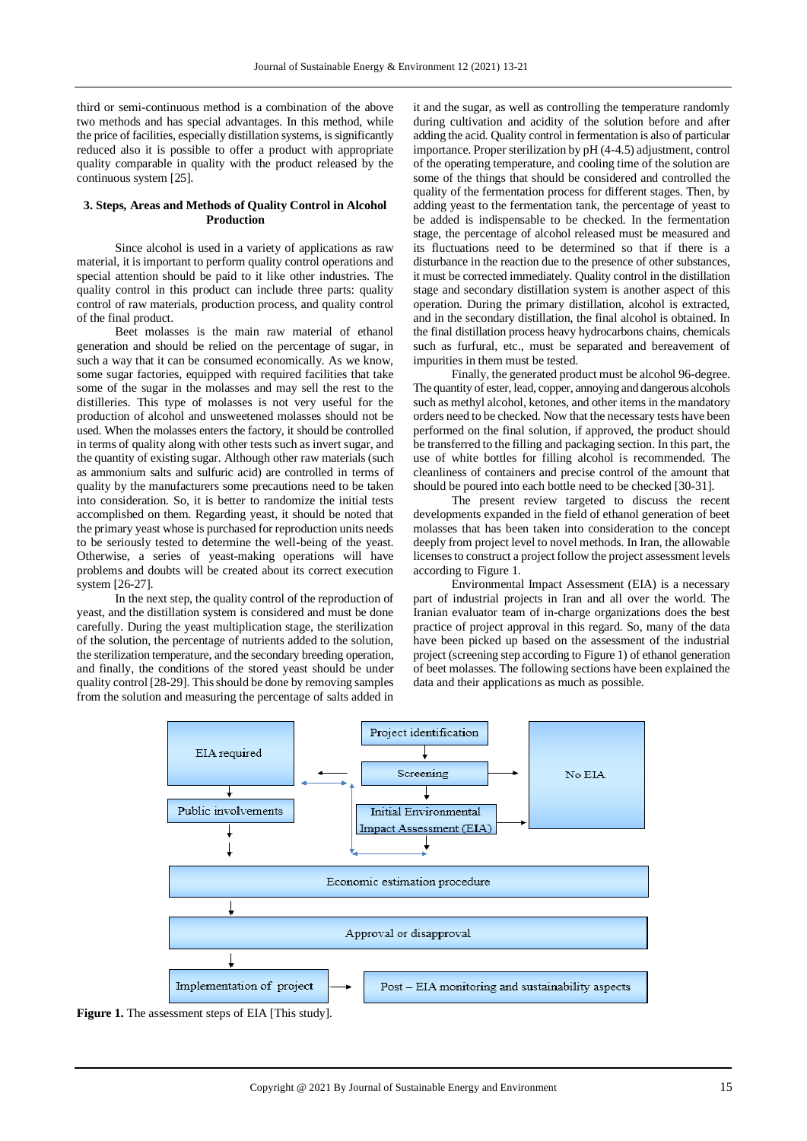third or semi-continuous method is a combination of the above two methods and has special advantages. In this method, while the price of facilities, especially distillation systems, is significantly reduced also it is possible to offer a product with appropriate quality comparable in quality with the product released by the continuous system [25].

# **3. Steps, Areas and Methods of Quality Control in Alcohol Production**

Since alcohol is used in a variety of applications as raw material, it is important to perform quality control operations and special attention should be paid to it like other industries. The quality control in this product can include three parts: quality control of raw materials, production process, and quality control of the final product.

Beet molasses is the main raw material of ethanol generation and should be relied on the percentage of sugar, in such a way that it can be consumed economically. As we know, some sugar factories, equipped with required facilities that take some of the sugar in the molasses and may sell the rest to the distilleries. This type of molasses is not very useful for the production of alcohol and unsweetened molasses should not be used. When the molasses enters the factory, it should be controlled in terms of quality along with other tests such as invert sugar, and the quantity of existing sugar. Although other raw materials (such as ammonium salts and sulfuric acid) are controlled in terms of quality by the manufacturers some precautions need to be taken into consideration. So, it is better to randomize the initial tests accomplished on them. Regarding yeast, it should be noted that the primary yeast whose is purchased for reproduction units needs to be seriously tested to determine the well-being of the yeast. Otherwise, a series of yeast-making operations will have problems and doubts will be created about its correct execution system [26-27].

In the next step, the quality control of the reproduction of yeast, and the distillation system is considered and must be done carefully. During the yeast multiplication stage, the sterilization of the solution, the percentage of nutrients added to the solution, the sterilization temperature, and the secondary breeding operation, and finally, the conditions of the stored yeast should be under quality control [28-29]. This should be done by removing samples from the solution and measuring the percentage of salts added in

it and the sugar, as well as controlling the temperature randomly during cultivation and acidity of the solution before and after adding the acid. Quality control in fermentation is also of particular importance. Proper sterilization by pH (4-4.5) adjustment, control of the operating temperature, and cooling time of the solution are some of the things that should be considered and controlled the quality of the fermentation process for different stages. Then, by adding yeast to the fermentation tank, the percentage of yeast to be added is indispensable to be checked. In the fermentation stage, the percentage of alcohol released must be measured and its fluctuations need to be determined so that if there is a disturbance in the reaction due to the presence of other substances, it must be corrected immediately. Quality control in the distillation stage and secondary distillation system is another aspect of this operation. During the primary distillation, alcohol is extracted, and in the secondary distillation, the final alcohol is obtained. In the final distillation process heavy hydrocarbons chains, chemicals such as furfural, etc., must be separated and bereavement of impurities in them must be tested.

Finally, the generated product must be alcohol 96-degree. The quantity of ester, lead, copper, annoying and dangerous alcohols such as methyl alcohol, ketones, and other items in the mandatory orders need to be checked. Now that the necessary tests have been performed on the final solution, if approved, the product should be transferred to the filling and packaging section. In this part, the use of white bottles for filling alcohol is recommended. The cleanliness of containers and precise control of the amount that should be poured into each bottle need to be checked [30-31].

The present review targeted to discuss the recent developments expanded in the field of ethanol generation of beet molasses that has been taken into consideration to the concept deeply from project level to novel methods. In Iran, the allowable licenses to construct a project follow the project assessment levels according to Figure 1.

Environmental Impact Assessment (EIA) is a necessary part of industrial projects in Iran and all over the world. The Iranian evaluator team of in-charge organizations does the best practice of project approval in this regard. So, many of the data have been picked up based on the assessment of the industrial project (screening step according to Figure 1) of ethanol generation of beet molasses. The following sections have been explained the data and their applications as much as possible.



**Figure 1.** The assessment steps of EIA [This study].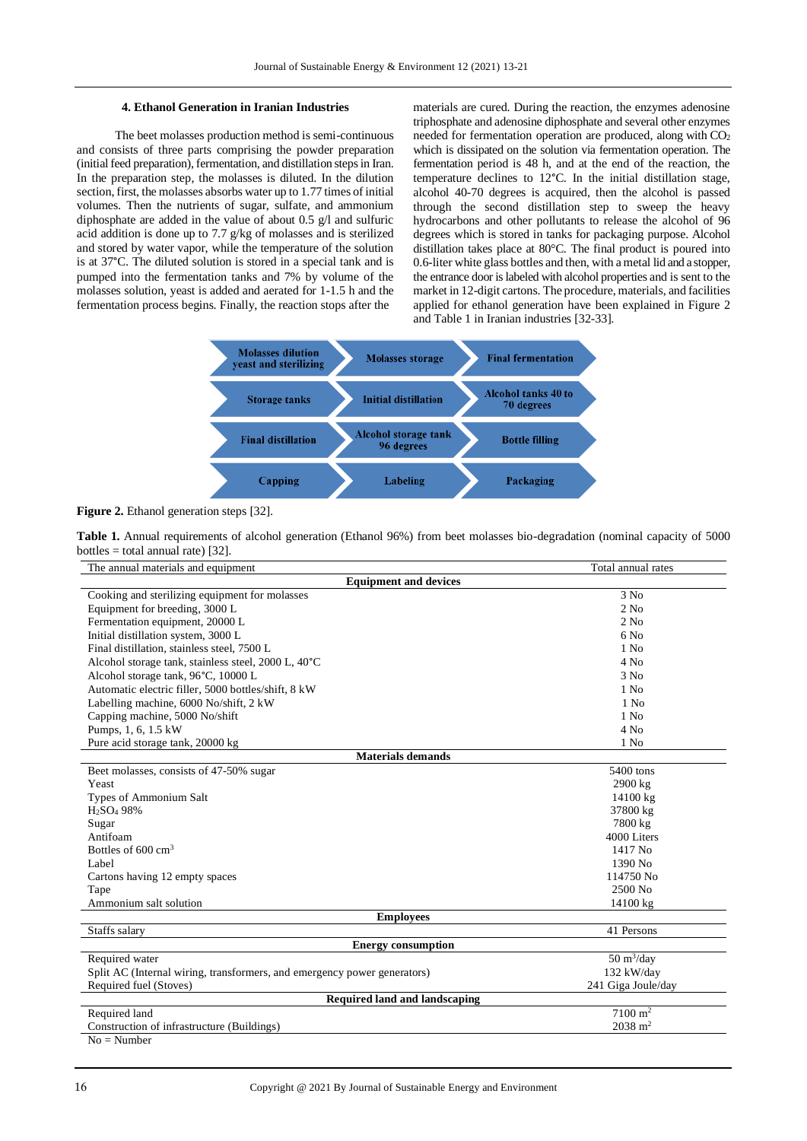## **4. Ethanol Generation in Iranian Industries**

The beet molasses production method is semi-continuous and consists of three parts comprising the powder preparation (initial feed preparation), fermentation, and distillation stepsin Iran. In the preparation step, the molasses is diluted. In the dilution section, first, the molasses absorbs water up to 1.77 times of initial volumes. Then the nutrients of sugar, sulfate, and ammonium diphosphate are added in the value of about 0.5 g/l and sulfuric acid addition is done up to 7.7 g/kg of molasses and is sterilized and stored by water vapor, while the temperature of the solution is at 37°C. The diluted solution is stored in a special tank and is pumped into the fermentation tanks and 7% by volume of the molasses solution, yeast is added and aerated for 1-1.5 h and the fermentation process begins. Finally, the reaction stops after the

materials are cured. During the reaction, the enzymes adenosine triphosphate and adenosine diphosphate and several other enzymes needed for fermentation operation are produced, along with CO<sub>2</sub> which is dissipated on the solution via fermentation operation. The fermentation period is 48 h, and at the end of the reaction, the temperature declines to 12°C. In the initial distillation stage, alcohol 40-70 degrees is acquired, then the alcohol is passed through the second distillation step to sweep the heavy hydrocarbons and other pollutants to release the alcohol of 96 degrees which is stored in tanks for packaging purpose. Alcohol distillation takes place at 80°C. The final product is poured into 0.6-liter white glass bottles and then, with a metal lid and a stopper, the entrance door is labeled with alcohol properties and is sent to the market in 12-digit cartons. The procedure, materials, and facilities applied for ethanol generation have been explained in Figure 2 and Table 1 in Iranian industries [32-33].



**Figure 2.** Ethanol generation steps [32].

**Table 1.** Annual requirements of alcohol generation (Ethanol 96%) from beet molasses bio-degradation (nominal capacity of 5000 bottles  $=$  total annual rate) [32].

| The annual materials and equipment                                       | Total annual rates                 |  |  |  |  |
|--------------------------------------------------------------------------|------------------------------------|--|--|--|--|
| <b>Equipment and devices</b>                                             |                                    |  |  |  |  |
| Cooking and sterilizing equipment for molasses                           | 3 No                               |  |  |  |  |
| Equipment for breeding, 3000 L                                           | $2$ No                             |  |  |  |  |
| Fermentation equipment, 20000 L                                          | $2$ No                             |  |  |  |  |
| Initial distillation system, 3000 L                                      | 6N <sub>0</sub>                    |  |  |  |  |
| Final distillation, stainless steel, 7500 L                              | $1$ No                             |  |  |  |  |
| Alcohol storage tank, stainless steel, 2000 L, 40°C                      | $4$ No                             |  |  |  |  |
| Alcohol storage tank, 96°C, 10000 L                                      | 3 No                               |  |  |  |  |
| Automatic electric filler, 5000 bottles/shift, 8 kW                      | $1$ No                             |  |  |  |  |
| Labelling machine, 6000 No/shift, 2 kW                                   | $1$ No                             |  |  |  |  |
| Capping machine, 5000 No/shift                                           | $1$ No                             |  |  |  |  |
| Pumps, 1, 6, 1.5 kW                                                      | $4$ No                             |  |  |  |  |
| Pure acid storage tank, 20000 kg                                         | $1$ No                             |  |  |  |  |
| <b>Materials demands</b>                                                 |                                    |  |  |  |  |
| Beet molasses, consists of 47-50% sugar                                  | 5400 tons                          |  |  |  |  |
| Yeast                                                                    | 2900 kg                            |  |  |  |  |
| Types of Ammonium Salt                                                   | 14100 kg                           |  |  |  |  |
| H <sub>2</sub> SO <sub>4</sub> 98%                                       | 37800 kg                           |  |  |  |  |
| Sugar                                                                    | 7800 kg                            |  |  |  |  |
| Antifoam                                                                 | 4000 Liters                        |  |  |  |  |
| Bottles of $600 \text{ cm}^3$                                            | 1417 No                            |  |  |  |  |
| Label                                                                    | 1390 No                            |  |  |  |  |
| Cartons having 12 empty spaces                                           | 114750 No                          |  |  |  |  |
| Tape                                                                     | 2500 No                            |  |  |  |  |
| Ammonium salt solution                                                   | 14100 kg                           |  |  |  |  |
| <b>Employees</b>                                                         |                                    |  |  |  |  |
| Staffs salary                                                            | 41 Persons                         |  |  |  |  |
| <b>Energy consumption</b>                                                |                                    |  |  |  |  |
| Required water                                                           | $50 \frac{\text{m}^3}{\text{day}}$ |  |  |  |  |
| Split AC (Internal wiring, transformers, and emergency power generators) | 132 kW/day                         |  |  |  |  |
| Required fuel (Stoves)                                                   | 241 Giga Joule/day                 |  |  |  |  |
| Required land and landscaping                                            |                                    |  |  |  |  |
| Required land                                                            | $7100 \text{ m}^2$                 |  |  |  |  |
| Construction of infrastructure (Buildings)                               | $2038 \text{ m}^2$                 |  |  |  |  |

 $No = Number$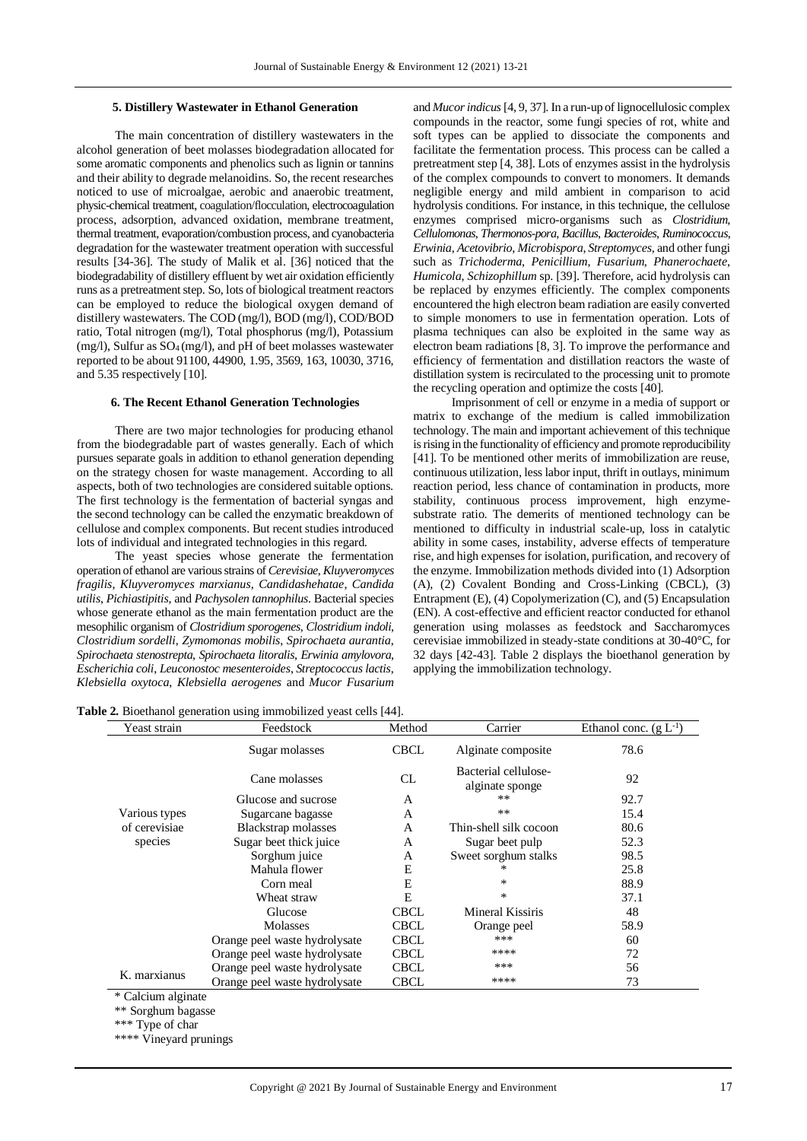#### **5. Distillery Wastewater in Ethanol Generation**

The main concentration of distillery wastewaters in the alcohol generation of beet molasses biodegradation allocated for some aromatic components and phenolics such as lignin or tannins and their ability to degrade melanoidins. So, the recent researches noticed to use of microalgae, aerobic and anaerobic treatment, physic-chemical treatment, coagulation/flocculation, electrocoagulation process, adsorption, advanced oxidation, membrane treatment, thermal treatment, evaporation/combustion process, and cyanobacteria degradation for the wastewater treatment operation with successful results [34-36]. The study of Malik et al. [36] noticed that the biodegradability of distillery effluent by wet air oxidation efficiently runs as a pretreatment step. So, lots of biological treatment reactors can be employed to reduce the biological oxygen demand of distillery wastewaters. The COD (mg/l), BOD (mg/l), COD/BOD ratio, Total nitrogen (mg/l), Total phosphorus (mg/l), Potassium (mg/l), Sulfur as SO4 (mg/l), and pH of beet molasses wastewater reported to be about 91100, 44900, 1.95, 3569, 163, 10030, 3716, and 5.35 respectively [10].

#### **6. The Recent Ethanol Generation Technologies**

There are two major technologies for producing ethanol from the biodegradable part of wastes generally. Each of which pursues separate goals in addition to ethanol generation depending on the strategy chosen for waste management. According to all aspects, both of two technologies are considered suitable options. The first technology is the fermentation of bacterial syngas and the second technology can be called the enzymatic breakdown of cellulose and complex components. But recent studies introduced lots of individual and integrated technologies in this regard.

The yeast species whose generate the fermentation operation of ethanol are various strains of *Cerevisiae*, *Kluyveromyces fragilis*, *Kluyveromyces marxianus*, *Candidashehatae*, *Candida utilis*, *Pichiastipitis*, and *Pachysolen tannophilus*. Bacterial species whose generate ethanol as the main fermentation product are the mesophilic organism of *Clostridium sporogenes*, *Clostridium indoli*, *Clostridium sordelli*, *Zymomonas mobilis*, *Spirochaeta aurantia*, *Spirochaeta stenostrepta*, *Spirochaeta litoralis*, *Erwinia amylovora*, *Escherichia coli*, *Leuconostoc mesenteroides*, *Streptococcus lactis*, *Klebsiella oxytoca*, *Klebsiella aerogenes* and *Mucor Fusarium* and *Mucor indicus*[4, 9, 37]. In a run-up of lignocellulosic complex compounds in the reactor, some fungi species of rot, white and soft types can be applied to dissociate the components and facilitate the fermentation process. This process can be called a pretreatment step [4, 38]. Lots of enzymes assist in the hydrolysis of the complex compounds to convert to monomers. It demands negligible energy and mild ambient in comparison to acid hydrolysis conditions. For instance, in this technique, the cellulose enzymes comprised micro-organisms such as *Clostridium*, *Cellulomonas*, *Thermonos-pora*, *Bacillus*, *Bacteroides*, *Ruminococcus*, *Erwinia*, *Acetovibrio*, *Microbispora*, *Streptomyces*, and other fungi such as *Trichoderma*, *Penicillium*, *Fusarium*, *Phanerochaete*, *Humicola*, *Schizophillum* sp. [39]. Therefore, acid hydrolysis can be replaced by enzymes efficiently. The complex components encountered the high electron beam radiation are easily converted to simple monomers to use in fermentation operation. Lots of plasma techniques can also be exploited in the same way as electron beam radiations [8, 3]. To improve the performance and efficiency of fermentation and distillation reactors the waste of distillation system is recirculated to the processing unit to promote the recycling operation and optimize the costs [40].

Imprisonment of cell or enzyme in a media of support or matrix to exchange of the medium is called immobilization technology. The main and important achievement of this technique is rising in the functionality of efficiency and promote reproducibility [41]. To be mentioned other merits of immobilization are reuse, continuous utilization, less labor input, thrift in outlays, minimum reaction period, less chance of contamination in products, more stability, continuous process improvement, high enzymesubstrate ratio. The demerits of mentioned technology can be mentioned to difficulty in industrial scale-up, loss in catalytic ability in some cases, instability, adverse effects of temperature rise, and high expenses for isolation, purification, and recovery of the enzyme. Immobilization methods divided into (1) Adsorption (A), (2) Covalent Bonding and Cross-Linking (CBCL), (3) Entrapment (E), (4) Copolymerization (C), and (5) Encapsulation (EN). A cost-effective and efficient reactor conducted for ethanol generation using molasses as feedstock and Saccharomyces cerevisiae immobilized in steady-state conditions at 30-40°C, for 32 days [42-43]. Table 2 displays the bioethanol generation by applying the immobilization technology.

**Table 2.** Bioethanol generation using immobilized yeast cells [44].

| Yeast strain  | Feedstock                     | Method       | Carrier                                 | Ethanol conc. $(g L^{-1})$ |
|---------------|-------------------------------|--------------|-----------------------------------------|----------------------------|
|               | Sugar molasses                | <b>CBCL</b>  | Alginate composite                      | 78.6                       |
|               | Cane molasses                 | <b>CL</b>    | Bacterial cellulose-<br>alginate sponge | 92                         |
|               | Glucose and sucrose           | $\mathsf{A}$ | $***$                                   | 92.7                       |
| Various types | Sugarcane bagasse             | A            | **                                      | 15.4                       |
| of cerevisiae | <b>Blackstrap</b> molasses    | A            | Thin-shell silk cocoon                  | 80.6                       |
| species       | Sugar beet thick juice        | A            | Sugar beet pulp                         | 52.3                       |
|               | Sorghum juice                 | A            | Sweet sorghum stalks                    | 98.5                       |
|               | Mahula flower                 | E            | ∗                                       | 25.8                       |
|               | Corn meal                     | E            | ∗                                       | 88.9                       |
|               | Wheat straw                   | E            | *                                       | 37.1                       |
|               | Glucose                       | <b>CBCL</b>  | Mineral Kissiris                        | 48                         |
|               | <b>Molasses</b>               | <b>CBCL</b>  | Orange peel                             | 58.9                       |
|               | Orange peel waste hydrolysate | <b>CBCL</b>  | ***                                     | 60                         |
|               | Orange peel waste hydrolysate | <b>CBCL</b>  | ****                                    | 72                         |
| K. marxianus  | Orange peel waste hydrolysate | <b>CBCL</b>  | ***                                     | 56                         |
|               | Orange peel waste hydrolysate | <b>CBCL</b>  | ****                                    | 73                         |

\*\* Sorghum bagasse

\*\*\* Type of char

\*\*\*\* Vineyard prunings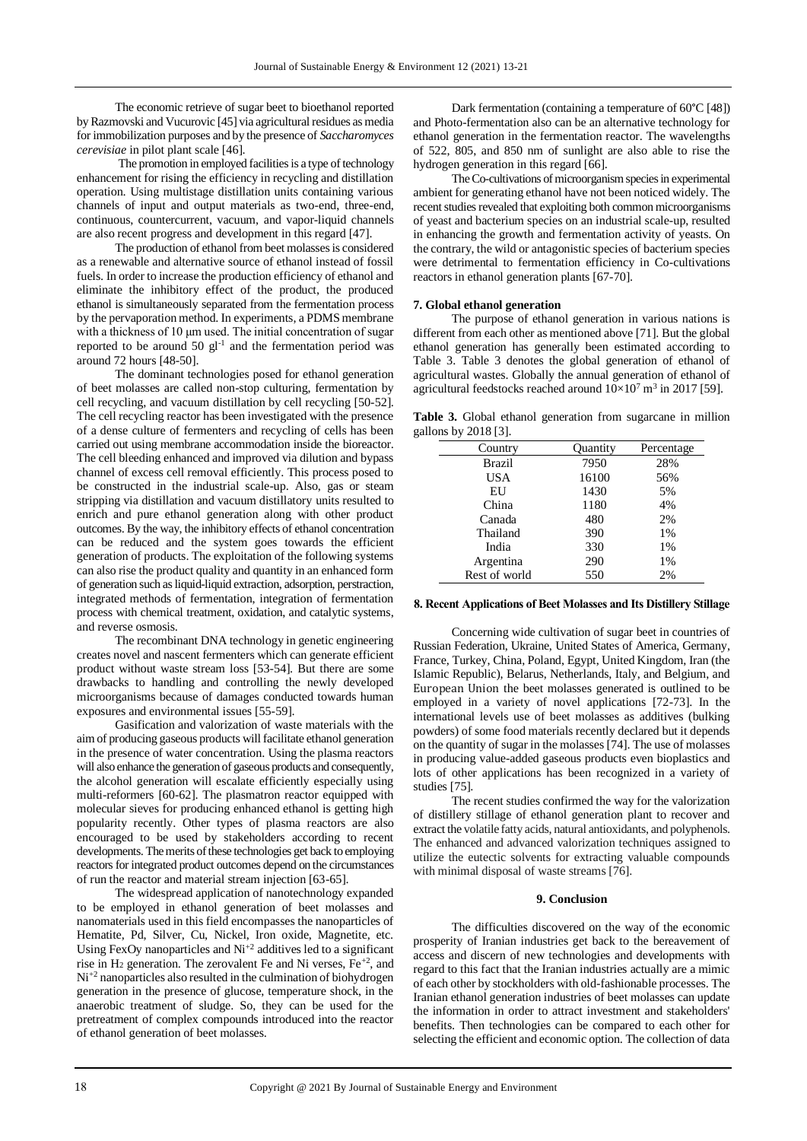The economic retrieve of sugar beet to bioethanol reported by Razmovski and Vucurovic [45] via agricultural residues as media for immobilization purposes and by the presence of *Saccharomyces cerevisiae* in pilot plant scale [46].

The promotion in employed facilities is a type of technology enhancement for rising the efficiency in recycling and distillation operation. Using multistage distillation units containing various channels of input and output materials as two-end, three-end, continuous, countercurrent, vacuum, and vapor-liquid channels are also recent progress and development in this regard [47].

The production of ethanol from beet molasses is considered as a renewable and alternative source of ethanol instead of fossil fuels. In order to increase the production efficiency of ethanol and eliminate the inhibitory effect of the product, the produced ethanol is simultaneously separated from the fermentation process by the pervaporation method. In experiments, a PDMS membrane with a thickness of 10 μm used. The initial concentration of sugar reported to be around  $50$  gl<sup>-1</sup> and the fermentation period was around 72 hours [48-50].

The dominant technologies posed for ethanol generation of beet molasses are called non-stop culturing, fermentation by cell recycling, and vacuum distillation by cell recycling [50-52]. The cell recycling reactor has been investigated with the presence of a dense culture of fermenters and recycling of cells has been carried out using membrane accommodation inside the bioreactor. The cell bleeding enhanced and improved via dilution and bypass channel of excess cell removal efficiently. This process posed to be constructed in the industrial scale-up. Also, gas or steam stripping via distillation and vacuum distillatory units resulted to enrich and pure ethanol generation along with other product outcomes. By the way, the inhibitory effects of ethanol concentration can be reduced and the system goes towards the efficient generation of products. The exploitation of the following systems can also rise the product quality and quantity in an enhanced form of generation such as liquid-liquid extraction, adsorption, perstraction, integrated methods of fermentation, integration of fermentation process with chemical treatment, oxidation, and catalytic systems, and reverse osmosis.

The recombinant DNA technology in genetic engineering creates novel and nascent fermenters which can generate efficient product without waste stream loss [53-54]. But there are some drawbacks to handling and controlling the newly developed microorganisms because of damages conducted towards human exposures and environmental issues [55-59].

Gasification and valorization of waste materials with the aim of producing gaseous products will facilitate ethanol generation in the presence of water concentration. Using the plasma reactors will also enhance the generation of gaseous products and consequently, the alcohol generation will escalate efficiently especially using multi-reformers [60-62]. The plasmatron reactor equipped with molecular sieves for producing enhanced ethanol is getting high popularity recently. Other types of plasma reactors are also encouraged to be used by stakeholders according to recent developments. The merits of these technologies get back to employing reactors for integrated product outcomes depend on the circumstances of run the reactor and material stream injection [63-65].

The widespread application of nanotechnology expanded to be employed in ethanol generation of beet molasses and nanomaterials used in this field encompasses the nanoparticles of Hematite, Pd, Silver, Cu, Nickel, Iron oxide, Magnetite, etc. Using FexOy nanoparticles and  $Ni<sup>+2</sup>$  additives led to a significant rise in  $H_2$  generation. The zerovalent Fe and Ni verses,  $Fe^{+2}$ , and Ni+2 nanoparticles also resulted in the culmination of biohydrogen generation in the presence of glucose, temperature shock, in the anaerobic treatment of sludge. So, they can be used for the pretreatment of complex compounds introduced into the reactor of ethanol generation of beet molasses.

Dark fermentation (containing a temperature of 60°C [48]) and Photo-fermentation also can be an alternative technology for ethanol generation in the fermentation reactor. The wavelengths of 522, 805, and 850 nm of sunlight are also able to rise the hydrogen generation in this regard [66].

The Co-cultivations of microorganism species in experimental ambient for generating ethanol have not been noticed widely. The recent studies revealed that exploiting both common microorganisms of yeast and bacterium species on an industrial scale-up, resulted in enhancing the growth and fermentation activity of yeasts. On the contrary, the wild or antagonistic species of bacterium species were detrimental to fermentation efficiency in Co-cultivations reactors in ethanol generation plants [67-70].

## **7. Global ethanol generation**

The purpose of ethanol generation in various nations is different from each other as mentioned above [71]. But the global ethanol generation has generally been estimated according to Table 3. Table 3 denotes the global generation of ethanol of agricultural wastes. Globally the annual generation of ethanol of agricultural feedstocks reached around  $10 \times 10^7$  m<sup>3</sup> in 2017 [59].

**Table 3.** Global ethanol generation from sugarcane in million gallons by 2018 [3].

| Quantity | Percentage |
|----------|------------|
| 7950     | 28%        |
| 16100    | 56%        |
| 1430     | 5%         |
| 1180     | 4%         |
| 480      | 2%         |
| 390      | 1%         |
| 330      | 1%         |
| 290      | 1%         |
| 550      | 2%         |
|          |            |

## **8. Recent Applications of Beet Molasses and Its Distillery Stillage**

Concerning wide cultivation of sugar beet in countries of Russian Federation, Ukraine, United States of America, Germany, France, Turkey, China, Poland, Egypt, United Kingdom, Iran (the Islamic Republic), Belarus, Netherlands, Italy, and Belgium, and European Union the beet molasses generated is outlined to be employed in a variety of novel applications [72-73]. In the international levels use of beet molasses as additives (bulking powders) of some food materials recently declared but it depends on the quantity of sugar in the molasses [74]. The use of molasses in producing value-added gaseous products even bioplastics and lots of other applications has been recognized in a variety of studies [75].

The recent studies confirmed the way for the valorization of distillery stillage of ethanol generation plant to recover and extract the volatile fatty acids, natural antioxidants, and polyphenols. The enhanced and advanced valorization techniques assigned to utilize the eutectic solvents for extracting valuable compounds with minimal disposal of waste streams [76].

### **9. Conclusion**

The difficulties discovered on the way of the economic prosperity of Iranian industries get back to the bereavement of access and discern of new technologies and developments with regard to this fact that the Iranian industries actually are a mimic of each other by stockholders with old-fashionable processes. The Iranian ethanol generation industries of beet molasses can update the information in order to attract investment and stakeholders' benefits. Then technologies can be compared to each other for selecting the efficient and economic option. The collection of data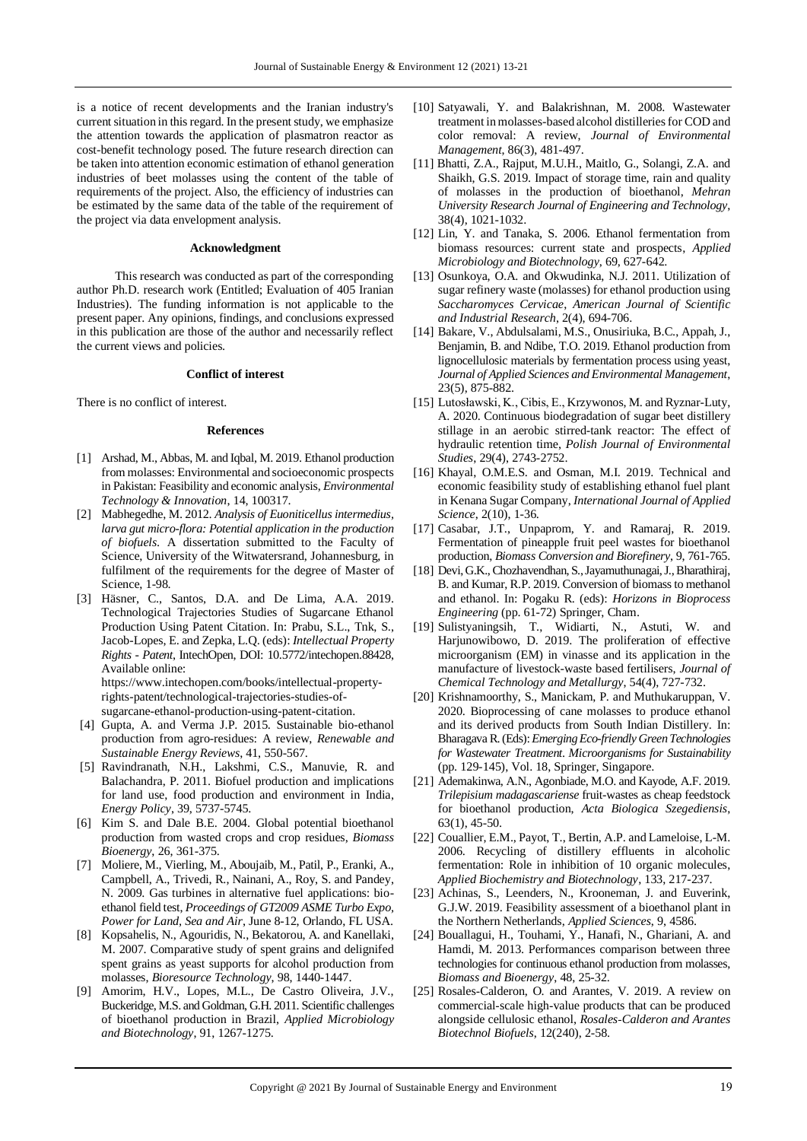is a notice of recent developments and the Iranian industry's current situation in this regard. In the present study, we emphasize the attention towards the application of plasmatron reactor as cost-benefit technology posed. The future research direction can be taken into attention economic estimation of ethanol generation industries of beet molasses using the content of the table of requirements of the project. Also, the efficiency of industries can be estimated by the same data of the table of the requirement of the project via data envelopment analysis.

## **Acknowledgment**

This research was conducted as part of the corresponding author Ph.D. research work (Entitled; Evaluation of 405 Iranian Industries). The funding information is not applicable to the present paper. Any opinions, findings, and conclusions expressed in this publication are those of the author and necessarily reflect the current views and policies.

### **Conflict of interest**

There is no conflict of interest.

#### **References**

- [1] Arshad, M., Abbas, M. and Iqbal, M. 2019. Ethanol production from molasses: Environmental and socioeconomic prospects in Pakistan: Feasibility and economic analysis, *Environmental Technology & Innovation*, 14, 100317.
- [2] Mabhegedhe, M. 2012. *Analysis of Euoniticellus intermedius, larva gut micro-flora: Potential application in the production of biofuels*. A dissertation submitted to the Faculty of Science, University of the Witwatersrand, Johannesburg, in fulfilment of the requirements for the degree of Master of Science, 1-98.
- [3] Häsner, C., Santos, D.A. and De Lima, A.A. 2019. Technological Trajectories Studies of Sugarcane Ethanol Production Using Patent Citation. In: Prabu, S.L., Tnk, S., Jacob-Lopes, E. and Zepka, L.Q. (eds): *Intellectual Property Rights - Patent*, IntechOpen, DOI: 10.5772/intechopen.88428, Available online:

https://www.intechopen.com/books/intellectual-propertyrights-patent/technological-trajectories-studies-ofsugarcane-ethanol-production-using-patent-citation.

- [4] Gupta, A. and Verma J.P. 2015. Sustainable bio-ethanol production from agro-residues: A review, *Renewable and Sustainable Energy Reviews*, 41, 550-567.
- [5] Ravindranath, N.H., Lakshmi, C.S., Manuvie, R. and Balachandra, P. 2011. Biofuel production and implications for land use, food production and environment in India, *Energy Policy*, 39, 5737-5745.
- [6] Kim S. and Dale B.E. 2004. Global potential bioethanol production from wasted crops and crop residues, *Biomass Bioenergy*, 26, 361-375.
- [7] Moliere, M., Vierling, M., Aboujaib, M., Patil, P., Eranki, A., Campbell, A., Trivedi, R., Nainani, A., Roy, S. and Pandey, N. 2009. Gas turbines in alternative fuel applications: bioethanol field test, *Proceedings of GT2009 ASME Turbo Expo, Power for Land, Sea and Air*, June 8-12, Orlando, FL USA.
- [8] Kopsahelis, N., Agouridis, N., Bekatorou, A. and Kanellaki, M. 2007. Comparative study of spent grains and delignifed spent grains as yeast supports for alcohol production from molasses, *Bioresource Technology*, 98, 1440-1447.
- [9] Amorim, H.V., Lopes, M.L., De Castro Oliveira, J.V., Buckeridge, M.S. and Goldman, G.H. 2011. Scientific challenges of bioethanol production in Brazil, *Applied Microbiology and Biotechnology*, 91, 1267-1275.
- [10] Satyawali, Y. and Balakrishnan, M. 2008. Wastewater treatment in molasses-based alcohol distilleries for COD and color removal: A review, *[Journal of Environmental](https://www.sciencedirect.com/science/journal/03014797)  [Management](https://www.sciencedirect.com/science/journal/03014797)*, 86(3), 481-497.
- [11] Bhatti, Z.A., Rajput, M.U.H., Maitlo, G., Solangi, Z.A. and Shaikh, G.S. 2019. Impact of storage time, rain and quality of molasses in the production of bioethanol, *Mehran University Research Journal of Engineering and Technology*, 38(4), 1021-1032.
- [12] Lin, Y. and Tanaka, S. 2006. Ethanol fermentation from biomass resources: current state and prospects, *Applied Microbiology and Biotechnology*, 69, 627-642.
- [13] Osunkoya, O.A. and Okwudinka, N.J. 2011. Utilization of sugar refinery waste (molasses) for ethanol production using *Saccharomyces Cervicae*, *American Journal of Scientific and Industrial Research*, 2(4), 694-706.
- [14] Bakare, V., Abdulsalami, M.S., Onusiriuka, B.C., Appah, J., Benjamin, B. and Ndibe, T.O. 2019. Ethanol production from lignocellulosic materials by fermentation process using yeast, *Journal of Applied Sciences and Environmental Management*, 23(5), 875-882.
- [15] Lutosławski, K., Cibis, E., Krzywonos, M. and Ryznar-Luty, A. 2020. Continuous biodegradation of sugar beet distillery stillage in an aerobic stirred-tank reactor: The effect of hydraulic retention time, *Polish Journal of Environmental Studies*, 29(4), 2743-2752.
- [16] Khayal, O.M.E.S. and Osman, M.I. 2019. Technical and economic feasibility study of establishing ethanol fuel plant in Kenana Sugar Company, *International Journal of Applied Science*, 2(10), 1-36.
- [17] Casabar, J.T., Unpaprom, Y. and Ramaraj, R. 2019. Fermentation of pineapple fruit peel wastes for bioethanol production, *Biomass Conversion and Biorefinery*, 9, 761-765.
- [18] Devi, G.K., Chozhavendhan, S., Jayamuthunagai, J., Bharathiraj, B. and Kumar, R.P. 2019. Conversion of biomass to methanol and ethanol. In: Pogaku R. (eds): *Horizons in Bioprocess Engineering* (pp. 61-72) Springer, Cham.
- [19] Sulistyaningsih, T., Widiarti, N., Astuti, W. and Harjunowibowo, D. 2019. The proliferation of effective microorganism (EM) in vinasse and its application in the manufacture of livestock-waste based fertilisers, *Journal of Chemical Technology and Metallurgy*, 54(4), 727-732.
- [20] Krishnamoorthy, S., Manickam, P. and Muthukaruppan, V. 2020. Bioprocessing of cane molasses to produce ethanol and its derived products from South Indian Distillery. In: Bharagava R. (Eds):*Emerging Eco-friendly Green Technologies for Wastewater Treatment*. *Microorganisms for Sustainability* (pp. 129-145), Vol. 18, Springer, Singapore.
- [21] Ademakinwa, A.N., Agonbiade, M.O. and Kayode, A.F. 2019. *Trilepisium madagascariense* fruit-wastes as cheap feedstock for bioethanol production, *Acta Biologica Szegediensis*, 63(1), 45-50.
- [22] Couallier, E.M., Payot, T., Bertin, A.P. and Lameloise, L-M. 2006. Recycling of distillery effluents in alcoholic fermentation: Role in inhibition of 10 organic molecules, *Applied Biochemistry and Biotechnology*, 133, 217-237.
- [23] Achinas, S., Leenders, N., Krooneman, J. and Euverink, G.J.W. 2019. Feasibility assessment of a bioethanol plant in the Northern Netherlands, *Applied Sciences*, 9, 4586.
- [24] Bouallagui, H., Touhami, Y., Hanafi, N., Ghariani, A. and Hamdi, M. 2013. Performances comparison between three technologies for continuous ethanol production from molasses, *Biomass and Bioenergy*, 48, 25-32.
- [25] Rosales-Calderon, O. and Arantes, V. 2019. A review on commercial-scale high-value products that can be produced alongside cellulosic ethanol, *Rosales‑Calderon and Arantes Biotechnol Biofuels*, 12(240), 2-58.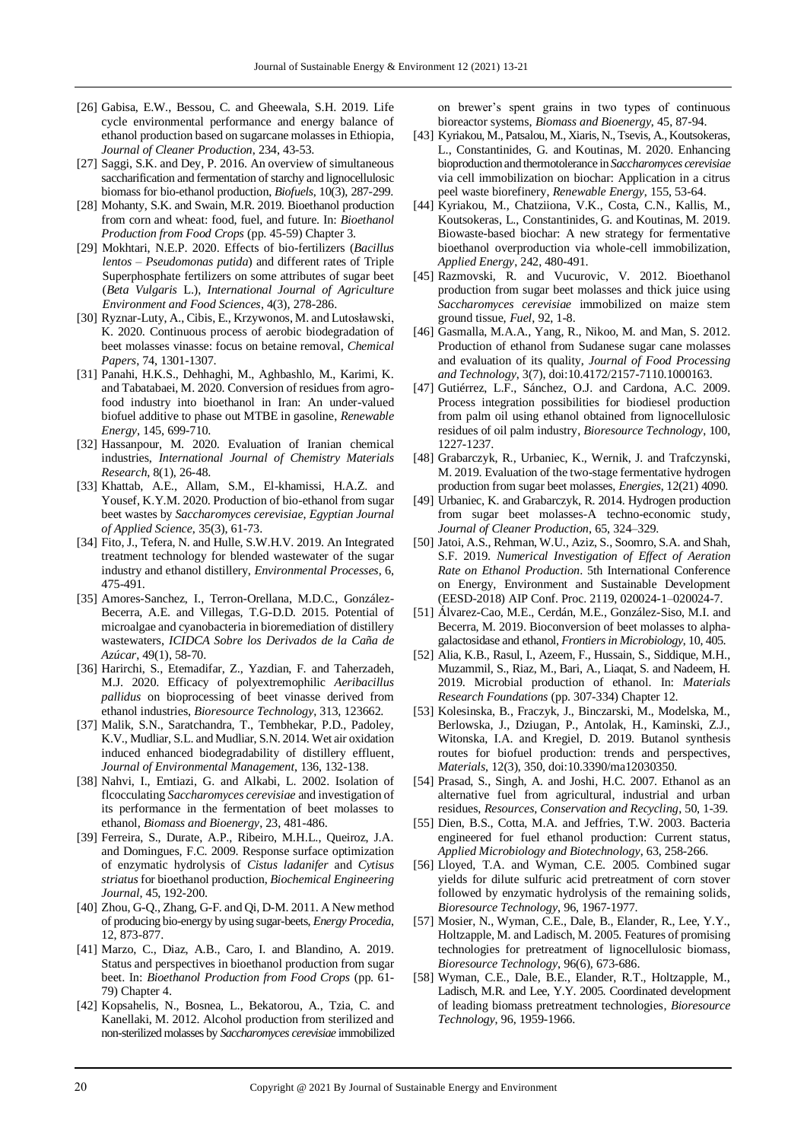- [26] Gabisa, E.W., Bessou, C. and Gheewala, S.H. 2019. Life cycle environmental performance and energy balance of ethanol production based on sugarcane molasses in Ethiopia, *Journal of Cleaner Production*, 234, 43-53.
- [27] Saggi, S.K. and Dey, P. 2016. An overview of simultaneous saccharification and fermentation of starchy and lignocellulosic biomass for bio-ethanol production, *Biofuels*, 10(3), 287-299.
- [28] Mohanty, S.K. and Swain, M.R. 2019. Bioethanol production from corn and wheat: food, fuel, and future. In: *Bioethanol Production from Food Crops* (pp. 45-59) Chapter 3.
- [29] Mokhtari, N.E.P. 2020. Effects of bio-fertilizers (*Bacillus lentos* – *Pseudomonas putida*) and different rates of Triple Superphosphate fertilizers on some attributes of sugar beet (*Beta Vulgaris* L.), *International Journal of Agriculture Environment and Food Sciences*, 4(3), 278-286.
- [30] Ryznar-Luty, A., Cibis, E., Krzywonos, M. and Lutosławski, K. 2020. Continuous process of aerobic biodegradation of beet molasses vinasse: focus on betaine removal, *Chemical Papers*, 74, 1301-1307.
- [31] Panahi, H.K.S., Dehhaghi, M., Aghbashlo, M., Karimi, K. and Tabatabaei, M. 2020. Conversion of residues from agrofood industry into bioethanol in Iran: An under-valued biofuel additive to phase out MTBE in gasoline, *Renewable Energy*, 145, 699-710.
- [32] Hassanpour, M. 2020. Evaluation of Iranian chemical industries, *International Journal of Chemistry Materials Research*, 8(1), 26-48.
- [33] Khattab, A.E., Allam, S.M., El-khamissi, H.A.Z. and Yousef, K.Y.M. 2020. Production of bio-ethanol from sugar beet wastes by *Saccharomyces cerevisiae*, *Egyptian Journal of Applied Science*, 35(3), 61-73.
- [34] Fito, J., Tefera, N. and Hulle, S.W.H.V. 2019. An Integrated treatment technology for blended wastewater of the sugar industry and ethanol distillery, *Environmental Processes*, 6, 475-491.
- [35] Amores-Sanchez, I., Terron-Orellana, M.D.C., González-Becerra, A.E. and Villegas, T.G-D.D. 2015. Potential of microalgae and cyanobacteria in bioremediation of distillery wastewaters, *ICIDCA Sobre los Derivados de la Caña de Azúcar*, 49(1), 58-70.
- [36] Harirchi, S., Etemadifar, Z., Yazdian, F. and Taherzadeh, M.J. 2020. Efficacy of polyextremophilic *Aeribacillus pallidus* on bioprocessing of beet vinasse derived from ethanol industries, *Bioresource Technology*, 313, 123662.
- [37] Malik, S.N., Saratchandra, T., Tembhekar, P.D., Padoley, K.V., Mudliar, S.L. and Mudliar, S.N. 2014. Wet air oxidation induced enhanced biodegradability of distillery effluent, *Journal of Environmental Management*, 136, 132-138.
- [38] Nahvi, I., Emtiazi, G. and Alkabi, L. 2002. Isolation of flcocculating *Saccharomyces cerevisiae* and investigation of its performance in the fermentation of beet molasses to ethanol, *Biomass and Bioenergy*, 23, 481-486.
- [39] Ferreira, S., Durate, A.P., Ribeiro, M.H.L., Queiroz, J.A. and Domingues, F.C. 2009. Response surface optimization of enzymatic hydrolysis of *Cistus ladanifer* and *Cytisus striatus* for bioethanol production, *Biochemical Engineering Journal*, 45, 192-200.
- [40] Zhou, G-Q., Zhang, G-F. and Qi, D-M. 2011. A New method of producing bio-energy by using sugar-beets, *Energy Procedia*, 12, 873-877.
- [41] Marzo, C., Diaz, A.B., Caro, I. and Blandino, A. 2019. Status and perspectives in bioethanol production from sugar beet. In: *[Bioethanol Production from Food Crops](https://www.sciencedirect.com/science/book/9780128137666)* (pp. 61- 79) Chapter 4.
- [42] Kopsahelis, N., Bosnea, L., Bekatorou, A., Tzia, C. and Kanellaki, M. 2012. Alcohol production from sterilized and non-sterilized molasses by *Saccharomyces cerevisiae* immobilized

on brewer's spent grains in two types of continuous bioreactor systems, *Biomass and Bioenergy*, 45, 87-94.

- [43] Kyriakou, M., Patsalou, M., Xiaris, N., Tsevis, A., Koutsokeras, L., Constantinides, G. and Koutinas, M. 2020. Enhancing bioproduction and thermotolerance in *Saccharomyces cerevisiae* via cell immobilization on biochar: Application in a citrus peel waste biorefinery, *Renewable Energy*, 155, 53-64.
- [44] Kyriakou, M., Chatziiona, V.K., Costa, C.N., Kallis, M., Koutsokeras, L., Constantinides, G. and Koutinas, M. 2019. Biowaste-based biochar: A new strategy for fermentative bioethanol overproduction via whole-cell immobilization, *[Applied Energy](https://www.sciencedirect.com/science/journal/03062619)*, 242, 480-491.
- [45] Razmovski, R. and Vucurovic, V. 2012. Bioethanol production from sugar beet molasses and thick juice using *Saccharomyces cerevisiae* immobilized on maize stem ground tissue, *Fuel*, 92, 1-8.
- [46] Gasmalla, M.A.A., Yang, R., Nikoo, M. and Man, S. 2012. Production of ethanol from Sudanese sugar cane molasses and evaluation of its quality, *Journal of Food Processing and Technology*, 3(7), doi:10.4172/2157-7110.1000163.
- [47] Gutiérrez, L.F., Sánchez, O.J. and Cardona, A.C. 2009. Process integration possibilities for biodiesel production from palm oil using ethanol obtained from lignocellulosic residues of oil palm industry, *Bioresource Technology*, 100, 1227-1237.
- [48] Grabarczyk, R., Urbaniec, K., Wernik, J. and Trafczynski, M. 2019. Evaluation of the two-stage fermentative hydrogen production from sugar beet molasses, *Energies*, 12(21) 4090.
- [49] Urbaniec, K. and Grabarczyk, R. 2014. Hydrogen production from sugar beet molasses-A techno-economic study, *Journal of Cleaner Production*, 65, 324–329.
- [50] Jatoi, A.S., Rehman, W.U., Aziz, S., Soomro, S.A. and Shah, S.F. 2019. *Numerical Investigation of Effect of Aeration Rate on Ethanol Production*. 5th International Conference on Energy, Environment and Sustainable Development (EESD-2018) AIP Conf. Proc. 2119, 020024-1–020024-7.
- [51] Álvarez-Cao, M.E., Cerdán, M.E., González-Siso, M.I. and Becerra, M. 2019. Bioconversion of beet molasses to alphagalactosidase and ethanol, *Frontiers in Microbiology*, 10, 405.
- [52] Alia, K.B., Rasul, I., Azeem, F., Hussain, S., Siddique, M.H., Muzammil, S., Riaz, M., Bari, A., Liaqat, S. and Nadeem, H. 2019. Microbial production of ethanol. In: *Materials Research Foundations* (pp. 307-334) Chapter 12.
- [53] Kolesinska, B., Fraczyk, J., Binczarski, M., Modelska, M., Berlowska, J., Dziugan, P., Antolak, H., Kaminski, Z.J., Witonska, I.A. and Kregiel, D. 2019. Butanol synthesis routes for biofuel production: trends and perspectives, *Materials*, 12(3), 350, doi:10.3390/ma12030350.
- [54] Prasad, S., Singh, A. and Joshi, H.C. 2007. Ethanol as an alternative fuel from agricultural, industrial and urban residues, *Resources, Conservation and Recycling*, 50, 1-39.
- [55] Dien, B.S., Cotta, M.A. and Jeffries, T.W. 2003. Bacteria engineered for fuel ethanol production: Current status, *Applied Microbiology and Biotechnology*, 63, 258-266.
- [56] Lloyed, T.A. and Wyman, C.E. 2005. Combined sugar yields for dilute sulfuric acid pretreatment of corn stover followed by enzymatic hydrolysis of the remaining solids, *Bioresource Technology*, 96, 1967-1977.
- [57] Mosier, N., Wyman, C.E., Dale, B., Elander, R., Lee, Y.Y., Holtzapple, M. and Ladisch, M. 2005. Features of promising technologies for pretreatment of lignocellulosic biomass, *Bioresource Technology*, 96(6), 673-686.
- [58] Wyman, C.E., Dale, B.E., Elander, R.T., Holtzapple, M., Ladisch, M.R. and Lee, Y.Y. 2005. Coordinated development of leading biomass pretreatment technologies, *Bioresource Technology*, 96, 1959-1966.